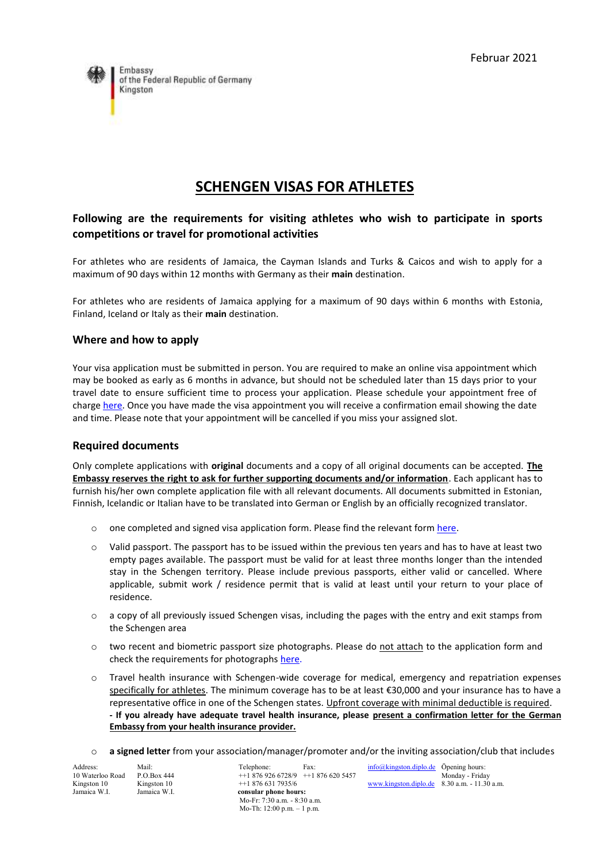

# **SCHENGEN VISAS FOR ATHLETES**

## **Following are the requirements for visiting athletes who wish to participate in sports competitions or travel for promotional activities**

For athletes who are residents of Jamaica, the Cayman Islands and Turks & Caicos and wish to apply for a maximum of 90 days within 12 months with Germany as their **main** destination.

For athletes who are residents of Jamaica applying for a maximum of 90 days within 6 months with Estonia, Finland, Iceland or Italy as their **main** destination.

## **Where and how to apply**

Your visa application must be submitted in person. You are required to make an online visa appointment which may be booked as early as 6 months in advance, but should not be scheduled later than 15 days prior to your travel date to ensure sufficient time to process your application. Please schedule your appointment free of charg[e here.](https://service.diplo.de/rktermin/extern/choose_realmList.do?locationCode=king&request_locale=en) Once you have made the visa appointment you will receive a confirmation email showing the date and time. Please note that your appointment will be cancelled if you miss your assigned slot.

## **Required documents**

Only complete applications with **original** documents and a copy of all original documents can be accepted. **The Embassy reserves the right to ask for further supporting documents and/or information**. Each applicant has to furnish his/her own complete application file with all relevant documents. All documents submitted in Estonian, Finnish, Icelandic or Italian have to be translated into German or English by an officially recognized translator.

- $\circ$  one completed and signed visa application form. Please find the relevant for[m here.](https://videx.diplo.de/)
- $\circ$  Valid passport. The passport has to be issued within the previous ten years and has to have at least two empty pages available. The passport must be valid for at least three months longer than the intended stay in the Schengen territory. Please include previous passports, either valid or cancelled. Where applicable, submit work / residence permit that is valid at least until your return to your place of residence.
- $\circ$  a copy of all previously issued Schengen visas, including the pages with the entry and exit stamps from the Schengen area
- $\circ$  two recent and biometric passport size photographs. Please do not attach to the application form and check the requirements for photographs [here.](https://www.bundesdruckerei.de/system/files/dokumente/pdf/Fotomustertafel-300dpi.pdf)
- o Travel health insurance with Schengen-wide coverage for medical, emergency and repatriation expenses specifically for athletes. The minimum coverage has to be at least €30,000 and your insurance has to have a representative office in one of the Schengen states. Upfront coverage with minimal deductible is required. **- If you already have adequate travel health insurance, please present a confirmation letter for the German Embassy from your health insurance provider.**
- o **a signed letter** from your association/manager/promoter and/or the inviting association/club that includes

Jamaica W.I. Jamaica W.I. **consular phone hours:**

 Mo-Fr: 7:30 a.m. - 8:30 a.m. Mo-Th: 12:00 p.m. – 1 p.m.

Address: Mail: Telephone: Fax:  $\frac{\text{in}6@ \text{kingston.diplo.de}}{10 \text{ Waterloo Road}}$  P.O.Box 444  $+1.876,926,6728/9$   $+1.876,620,5457$   $+1.876,620,5457$  Monday Friday  $+18769266728/9$   $+18766205457$  Monday - Friday<br> $+18766317935/6$  www.kinoston.diplo.de 8.30 a.m. - 11.30 Kingston 10 Kingston 10 ++1 876 631 7935/6 [www.kingston.diplo.de](http://www.kingston.diplo.de/) 8.30 a.m. - 11.30 a.m.